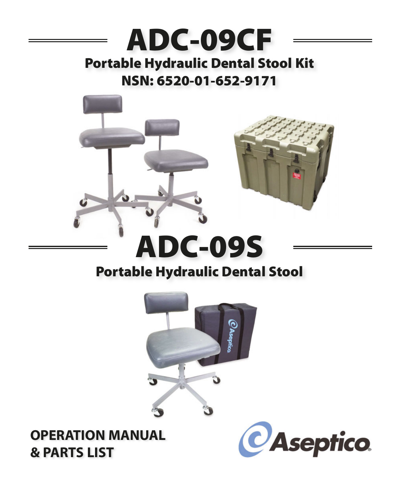# **ADC-09CF Portable Hydraulic Dental Stool Kit NSN: 6520-01-652-9171**



# **Portable Hydraulic Dental Stool**



**& PARTS LIST**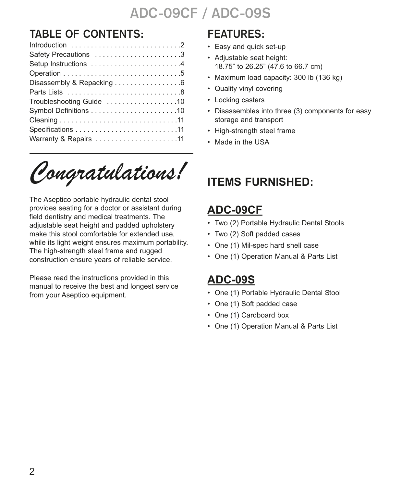### **TABLE OF CONTENTS:**

| Safety Precautions 3      |
|---------------------------|
| Setup Instructions 4      |
|                           |
| Disassembly & Repacking 6 |
|                           |
| Troubleshooting Guide 10  |
|                           |
|                           |
|                           |
| Warranty & Repairs 11     |

*Congratulations!*

The Aseptico portable hydraulic dental stool provides seating for a doctor or assistant during field dentistry and medical treatments. The adjustable seat height and padded upholstery make this stool comfortable for extended use, while its light weight ensures maximum portability. The high-strength steel frame and rugged construction ensure years of reliable service.

Please read the instructions provided in this manual to receive the best and longest service from your Aseptico equipment.

### **FEATURES:**

- Easy and quick set-up
- Adjustable seat height: 18.75" to 26.25" (47.6 to 66.7 cm)
- Maximum load capacity: 300 lb (136 kg)
- Quality vinyl covering
- Locking casters
- Disassembles into three (3) components for easy storage and transport
- High-strength steel frame
- Made in the USA

### **ITEMS FURNISHED:**

### **ADC-09CF**

- Two (2) Portable Hydraulic Dental Stools
- Two (2) Soft padded cases
- One (1) Mil-spec hard shell case
- One (1) Operation Manual & Parts List

### **ADC-09S**

- One (1) Portable Hydraulic Dental Stool
- One (1) Soft padded case
- One (1) Cardboard box
- One (1) Operation Manual & Parts List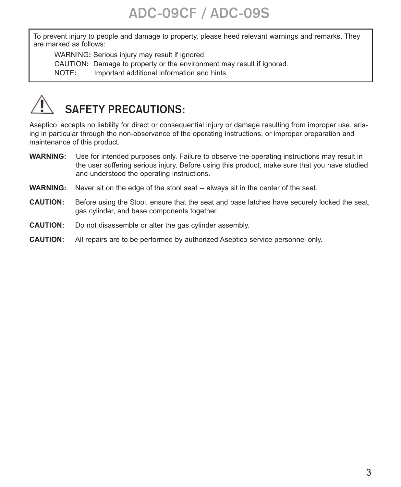To prevent injury to people and damage to property, please heed relevant warnings and remarks. They are marked as follows:

WARNING**:** Serious injury may result if ignored.

CAUTION**:** Damage to property or the environment may result if ignored.

NOTE**:** Important additional information and hints.

# **SAFETY PRECAUTIONS:**

Aseptico accepts no liability for direct or consequential injury or damage resulting from improper use, arising in particular through the non-observance of the operating instructions, or improper preparation and maintenance of this product.

- **WARNING:** Use for intended purposes only. Failure to observe the operating instructions may result in the user suffering serious injury. Before using this product, make sure that you have studied and understood the operating instructions.
- **WARNING:** Never sit on the edge of the stool seat -- always sit in the center of the seat.
- **CAUTION:** Before using the Stool, ensure that the seat and base latches have securely locked the seat, gas cylinder, and base components together.
- **CAUTION:** Do not disassemble or alter the gas cylinder assembly.
- **CAUTION:** All repairs are to be performed by authorized Aseptico service personnel only.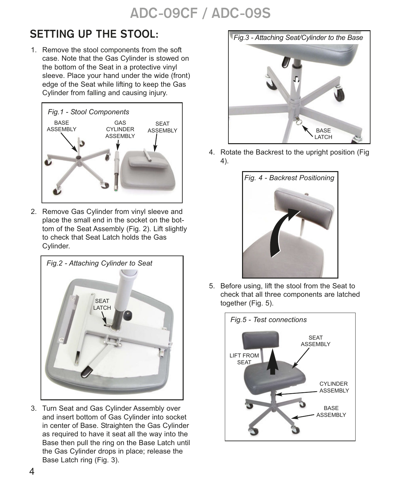### **SETTING UP THE STOOL:**

1. Remove the stool components from the soft case. Note that the Gas Cylinder is stowed on the bottom of the Seat in a protective vinyl sleeve. Place your hand under the wide (front) edge of the Seat while lifting to keep the Gas Cylinder from falling and causing injury.



2. Remove Gas Cylinder from vinyl sleeve and place the small end in the socket on the bottom of the Seat Assembly (Fig. 2). Lift slightly to check that Seat Latch holds the Gas Cylinder.



3. Turn Seat and Gas Cylinder Assembly over and insert bottom of Gas Cylinder into socket in center of Base. Straighten the Gas Cylinder as required to have it seat all the way into the Base then pull the ring on the Base Latch until the Gas Cylinder drops in place; release the Base Latch ring (Fig. 3).



4. Rotate the Backrest to the upright position (Fig 4).



5. Before using, lift the stool from the Seat to check that all three components are latched together (Fig. 5).

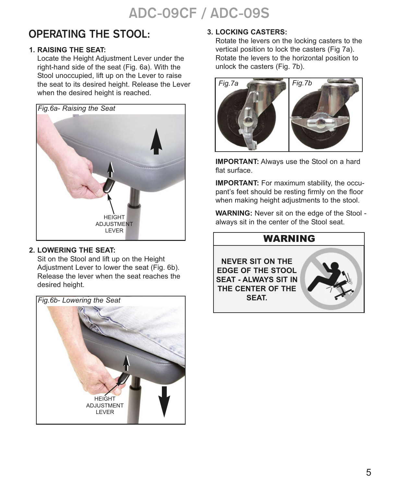#### **OPERATING THE STOOL:**

#### **1. RAISING THE SEAT:**

Locate the Height Adjustment Lever under the right-hand side of the seat (Fig. 6a). With the Stool unoccupied, lift up on the Lever to raise the seat to its desired height. Release the Lever when the desired height is reached.



#### **2. LOWERING THE SEAT:**

Sit on the Stool and lift up on the Height Adjustment Lever to lower the seat (Fig. 6b). Release the lever when the seat reaches the desired height.



#### **3. LOCKING CASTERS:**

Rotate the levers on the locking casters to the vertical position to lock the casters (Fig 7a). Rotate the levers to the horizontal position to unlock the casters (Fig. 7b).



**IMPORTANT:** Always use the Stool on a hard flat surface.

**IMPORTANT:** For maximum stability, the occupant's feet should be resting firmly on the floor when making height adjustments to the stool.

**WARNING:** Never sit on the edge of the Stool always sit in the center of the Stool seat.

#### WARNING

**NEVER SIT ON THE EDGE OF THE STOOL SEAT - ALWAYS SIT IN THE CENTER OF THE SEAT.**

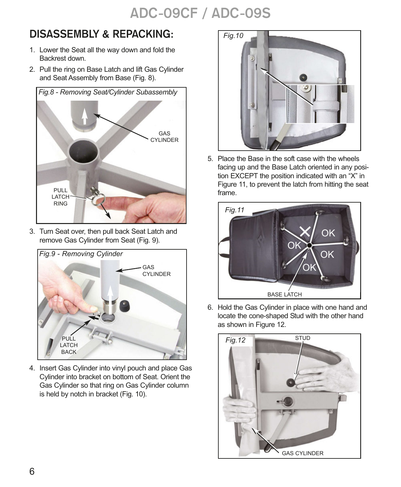### **DISASSEMBLY & REPACKING:**

- 1. Lower the Seat all the way down and fold the Backrest down.
- 2. Pull the ring on Base Latch and lift Gas Cylinder and Seat Assembly from Base (Fig. 8).



3. Turn Seat over, then pull back Seat Latch and remove Gas Cylinder from Seat (Fig. 9).



4. Insert Gas Cylinder into vinyl pouch and place Gas Cylinder into bracket on bottom of Seat. Orient the Gas Cylinder so that ring on Gas Cylinder column is held by notch in bracket (Fig. 10).



5. Place the Base in the soft case with the wheels facing up and the Base Latch oriented in any position EXCEPT the position indicated with an "X" in Figure 11, to prevent the latch from hitting the seat frame.



6. Hold the Gas Cylinder in place with one hand and locate the cone-shaped Stud with the other hand as shown in Figure 12.

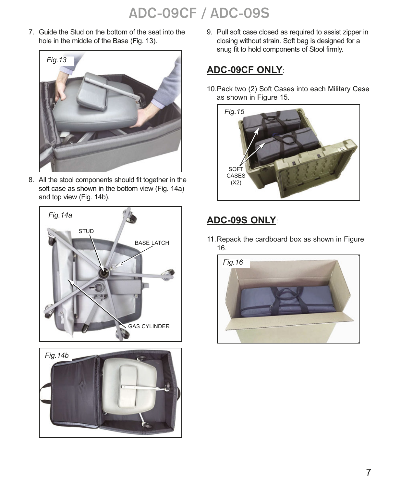7. Guide the Stud on the bottom of the seat into the hole in the middle of the Base (Fig. 13).



8. All the stool components should fit together in the soft case as shown in the bottom view (Fig. 14a) and top view (Fig. 14b).





9. Pull soft case closed as required to assist zipper in closing without strain. Soft bag is designed for a snug fit to hold components of Stool firmly.

#### **ADC-09CF ONLY**:

10.Pack two (2) Soft Cases into each Military Case as shown in Figure 15.



#### **ADC-09S ONLY**:

11.Repack the cardboard box as shown in Figure 16.

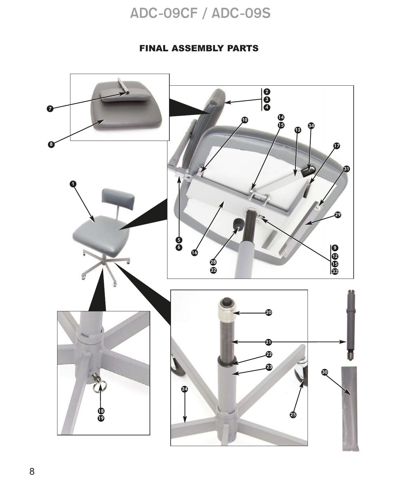#### FINAL ASSEMBLY PARTS

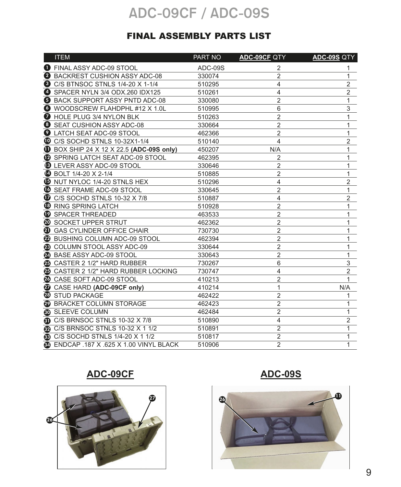#### FINAL ASSEMBLY PARTS LIST

| <b>ITEM</b>                                     | PART NO | ADC-09CF QTY            | ADC-09S QTY    |
|-------------------------------------------------|---------|-------------------------|----------------|
| <b>O</b> FINAL ASSY ADC-09 STOOL                | ADC-09S | 2                       | 1              |
| <b>2</b> BACKREST CUSHION ASSY ADC-08           | 330074  | $\overline{2}$          | 1              |
| <b>8</b> C/S BTNSOC STNLS 1/4-20 X 1-1/4        | 510295  | $\overline{\mathbf{4}}$ | $\overline{2}$ |
| ❹<br>SPACER NYLN 3/4 ODX.260 IDX125             | 510261  | 4                       | $\overline{2}$ |
| <b>B</b> BACK SUPPORT ASSY PNTD ADC-08          | 330080  | $\overline{2}$          | 1              |
| WOODSCREW FLAHDPHL #12 X 1.0L                   | 510995  | 6                       | 3              |
| <b>D</b> HOLE PLUG 3/4 NYLON BLK                | 510263  | $\overline{c}$          | 1              |
| SEAT CUSHION ASSY ADC-08<br>❸                   | 330664  | $\overline{2}$          | 1              |
| <b>2</b> LATCH SEAT ADC-09 STOOL                | 462366  | $\overline{2}$          | 1              |
| C/S SOCHD STNLS 10-32X1-1/4                     | 510140  | 4                       | 2              |
| <b>1</b> BOX SHIP 24 X 12 X 22.5 (ADC-09S only) | 450207  | N/A                     | 1              |
| <b>B</b> SPRING LATCH SEAT ADC-09 STOOL         | 462395  | $\overline{2}$          | 1              |
| <b>B</b> LEVER ASSY ADC-09 STOOL                | 330646  | $\overline{2}$          | 1              |
| <b>49 BOLT 1/4-20 X 2-1/4</b>                   | 510885  | $\overline{2}$          | 1              |
| <b>6</b> NUT NYLOC 1/4-20 STNLS HEX             | 510296  | 4                       | 2              |
| <b>C</b> SEAT FRAME ADC-09 STOOL                | 330645  | $\overline{2}$          | 1              |
| $\bullet$ C/S SOCHD STNLS 10-32 X 7/8           | 510887  | 4                       | $\overline{2}$ |
| <b>B</b> RING SPRING LATCH                      | 510928  | $\overline{2}$          | 1              |
| <b>19 SPACER THREADED</b>                       | 463533  | $\overline{2}$          | 1              |
| <b>20 SOCKET UPPER STRUT</b>                    | 462362  | $\overline{2}$          | 1              |
| <b>4</b> GAS CYLINDER OFFICE CHAIR              | 730730  | $\overline{2}$          | 1              |
| 22 BUSHING COLUMN ADC-09 STOOL                  | 462394  | $\overline{2}$          | 1              |
| <b>@</b> COLUMN STOOL ASSY ADC-09               | 330644  | $\overline{2}$          | 1              |
| 29 BASE ASSY ADC-09 STOOL                       | 330643  | $\overline{2}$          | 1              |
| <b>43</b> CASTER 2 1/2" HARD RUBBER             | 730267  | 6                       | 3              |
| <b>49 CASTER 2 1/2" HARD RUBBER LOCKING</b>     | 730747  | 4                       | $\overline{2}$ |
| <b>23</b> CASE SOFT ADC-09 STOOL                | 410213  | $\overline{2}$          | 1              |
| <b>29</b> CASE HARD (ADC-09CF only)             | 410214  | 1                       | N/A            |
| <sup>3</sup> STUD PACKAGE                       | 462422  | $\overline{2}$          | 1              |
| <b>29 BRACKET COLUMN STORAGE</b>                | 462423  | $\overline{2}$          | 1              |
| SLEEVE COLUMN                                   | 462484  | $\overline{2}$          | 1              |
| C/S BRNSOC STNLS 10-32 X 7/8                    | 510890  | $\overline{4}$          | $\overline{2}$ |
| <b>@ C/S BRNSOC STNLS 10-32 X 1 1/2</b>         | 510891  | $\overline{2}$          | 1              |
| <b>3</b> C/S SOCHD STNLS 1/4-20 X 1 1/2         | 510817  | $\overline{2}$          | 1              |
| <b>@ ENDCAP .187 X .625 X 1.00 VINYL BLACK</b>  | 510906  | $\overline{2}$          | 1              |

#### **ADC-09CF**





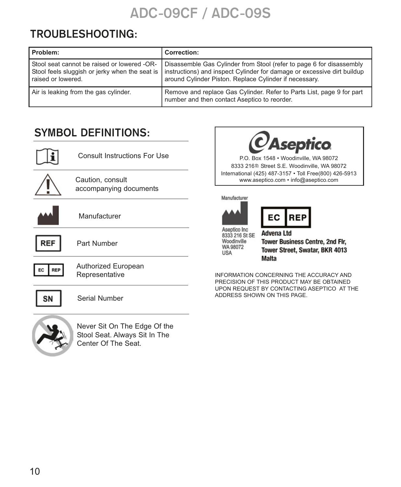#### **TROUBLESHOOTING:**

| Problem:                                                                                                            | <b>Correction:</b>                                                                                                                                                                                          |
|---------------------------------------------------------------------------------------------------------------------|-------------------------------------------------------------------------------------------------------------------------------------------------------------------------------------------------------------|
| Stool seat cannot be raised or lowered -OR-<br>Stool feels sluggish or jerky when the seat is<br>raised or lowered. | Disassemble Gas Cylinder from Stool (refer to page 6 for disassembly<br>I instructions) and inspect Cylinder for damage or excessive dirt buildup<br>around Cylinder Piston. Replace Cylinder if necessary. |
| Air is leaking from the gas cylinder.                                                                               | Remove and replace Gas Cylinder. Refer to Parts List, page 9 for part<br>number and then contact Aseptico to reorder.                                                                                       |

### **SYMBOL DEFINITIONS:**

|                  | <b>Consult Instructions For Use</b>        |
|------------------|--------------------------------------------|
|                  | Caution, consult<br>accompanying documents |
|                  | Manufacturer                               |
| <b>REF</b>       | Part Number                                |
| <b>REP</b><br>EС | Authorized European<br>Representative      |
| SΝ               | Serial Number                              |
|                  | Never Sit On The Edge Of the               |







Aseptico Inc 8333 216 St SE Woodinville WA 98072 **USA** 

**Advena Ltd Tower Business Centre, 2nd Flr,** Tower Street, Swatar, BKR 4013 **Malta** 

INFORMATION CONCERNING THE ACCURACY AND PRECISION OF THIS PRODUCT MAY BE OBTAINED UPON REQUEST BY CONTACTING ASEPTICO AT THE ADDRESS SHOWN ON THIS PAGE.



Never Sit On The Edge Of the Stool Seat. Always Sit In The Center Of The Seat.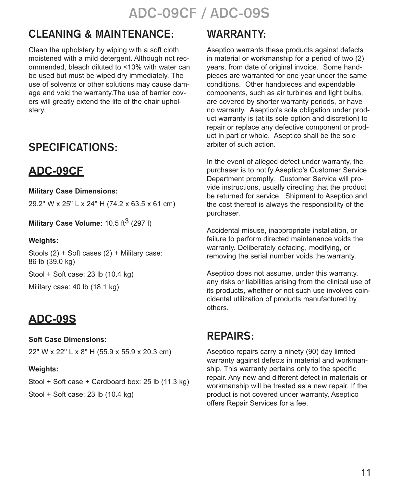### **CLEANING & MAINTENANCE:**

Clean the upholstery by wiping with a soft cloth moistened with a mild detergent. Although not recommended, bleach diluted to <10% with water can be used but must be wiped dry immediately. The use of solvents or other solutions may cause damage and void the warranty.The use of barrier covers will greatly extend the life of the chair upholstery.

#### **SPECIFICATIONS:**

### **ADC-09CF**

**Military Case Dimensions:**

29.2'' W x 25'' L x 24'' H (74.2 x 63.5 x 61 cm)

**Military Case Volume:** 10.5 ft<sup>3</sup> (297 l)

#### **Weights:**

Stools (2) + Soft cases (2) + Military case: 86 lb (39.0 kg)

Stool + Soft case: 23 lb (10.4 kg)

Military case: 40 lb (18.1 kg)

### **ADC-09S**

#### **Soft Case Dimensions:**

22'' W x 22'' L x 8'' H (55.9 x 55.9 x 20.3 cm)

#### **Weights:**

Stool + Soft case + Cardboard box: 25 lb (11.3 kg) Stool + Soft case: 23 lb (10.4 kg)

#### **WARRANTY:**

Aseptico warrants these products against defects in material or workmanship for a period of two (2) years, from date of original invoice. Some handpieces are warranted for one year under the same conditions. Other handpieces and expendable components, such as air turbines and light bulbs, are covered by shorter warranty periods, or have no warranty. Aseptico's sole obligation under product warranty is (at its sole option and discretion) to repair or replace any defective component or product in part or whole. Aseptico shall be the sole arbiter of such action.

In the event of alleged defect under warranty, the purchaser is to notify Aseptico's Customer Service Department promptly. Customer Service will provide instructions, usually directing that the product be returned for service. Shipment to Aseptico and the cost thereof is always the responsibility of the purchaser.

Accidental misuse, inappropriate installation, or failure to perform directed maintenance voids the warranty. Deliberately defacing, modifying, or removing the serial number voids the warranty.

Aseptico does not assume, under this warranty, any risks or liabilities arising from the clinical use of its products, whether or not such use involves coincidental utilization of products manufactured by others.

### **REPAIRS:**

Aseptico repairs carry a ninety (90) day limited warranty against defects in material and workmanship. This warranty pertains only to the specific repair. Any new and different defect in materials or workmanship will be treated as a new repair. If the product is not covered under warranty, Aseptico offers Repair Services for a fee.